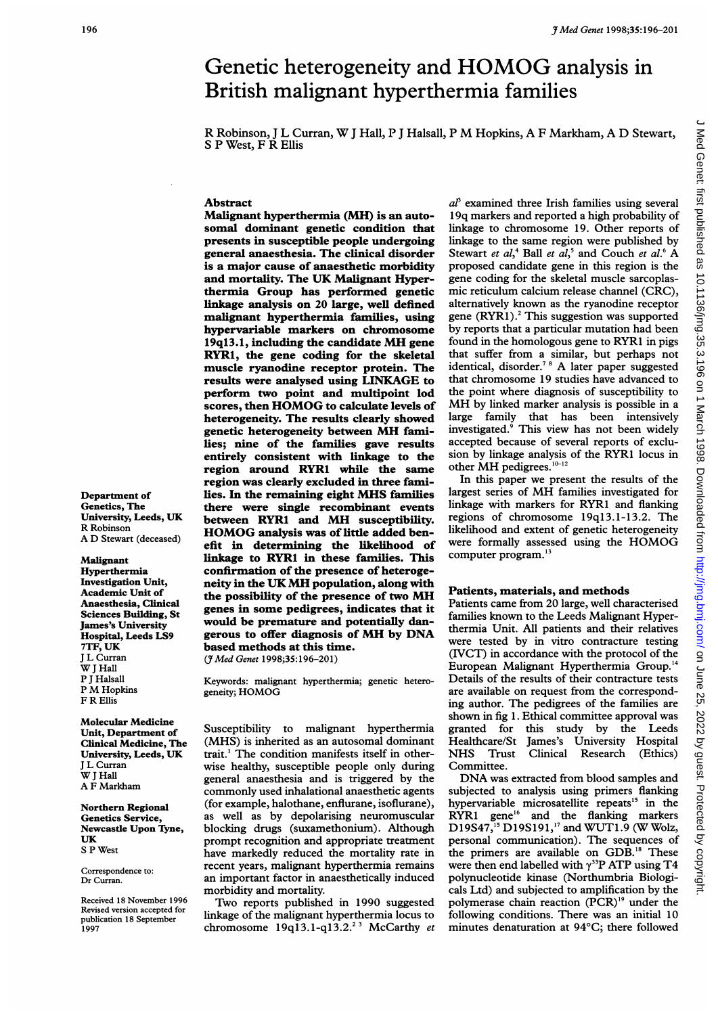# <sup>3</sup> Med Genet 1998;35:196-201<br>Genetic heterogeneity and HOMOG analysis in Genetic heterogeneity and HOMOG analysis in British malignant hyperthermia families

R Robinson, <sup>J</sup> <sup>L</sup> Curran, W<sup>J</sup> Hall, <sup>P</sup> <sup>J</sup> Halsall, <sup>P</sup> M Hopkins, A <sup>F</sup> Markham, A D Stewart, S P West, F R Ellis

# Abstract

Malignant hyperthermia (MH) is an autosomal dominant genetic condition that presents in susceptible people undergoing general anaesthesia. The clinical disorder is a major cause of anaesthetic morbidity and mortality. The UK Malignant Hyperthermia Group has performed genetic linkage analysis on 20 large, well defined malignant hyperthermia families, using hypervariable markers on chromosome 19q13.1, including the candidate MH gene RYR1, the gene coding for the skeletal muscle ryanodine receptor protein. The results were analysed using LINKAGE to perform two point and multipoint lod scores, then HOMOG to calculate levels of heterogeneity. The results clearly showed genetic heterogeneity between MH families; nine of the families gave results entirely consistent with linkage to the region around RYR1 while the same region was clearly excluded in three families. In the remaining eight MHS families there were single recombinant events between RYR1 and MH susceptibility. HOMOG analysis was of little added benefit in determining the likelihood of linkage to RYR1 in these families. This confirmation of the presence of heterogeneity in the UK MH population, along with the possibility of the presence of two MH genes in some pedigrees, indicates that it would be premature and potentially dangerous to offer diagnosis of MH by DNA based methods at this time.

(7Med Genet 1998;35:196-201)

Keywords: malignant hyperthermia; genetic heterogeneity; HOMOG

Susceptibility to malignant hyperthermia (MHS) is inherited as an autosomal dominant trait.' The condition manifests itself in otherwise healthy, susceptible people only during general anaesthesia and is triggered by the commonly used inhalational anaesthetic agents (for example, halothane, enflurane, isoflurane), as well as by depolarising neuromuscular blocking drugs (suxamethonium). Although prompt recognition and appropriate treatment have markedly reduced the mortality rate in recent years, malignant hyperthermia remains an important factor in anaesthetically induced morbidity and mortality.

Two reports published in 1990 suggested linkage of the malignant hyperthermia locus to chromosome  $19q13.1-q13.2.^{23}$  McCarthy et

 $a<sup>p</sup>$  examined three Irish families using several <sup>1</sup> 9q markers and reported a high probability of linkage to chromosome 19. Other reports of linkage to the same region were published by Stewart et  $al<sub>1</sub><sup>4</sup>$  Ball et  $al<sub>1</sub><sup>5</sup>$  and Couch et  $al<sub>1</sub><sup>6</sup>$  A proposed candidate gene in this region is the gene coding for the skeletal muscle sarcoplasmic reticulum calcium release channel (CRC), alternatively known as the ryanodine receptor gene (RYR1).<sup>2</sup> This suggestion was supported by reports that a particular mutation had been found in the homologous gene to RYR1 in pigs that suffer from a similar, but perhaps not identical, disorder.<sup>7</sup> <sup>8</sup> A later paper suggested that chromosome 19 studies have advanced to the point where diagnosis of susceptibility to MH by linked marker analysis is possible in <sup>a</sup> large family that has been intensively investigated.<sup>9</sup> This view has not been widely accepted because of several reports of exclusion by linkage analysis of the RYRI locus in other MH pedigrees. $10-12$ 

In this paper we present the results of the largest series of MH families investigated for linkage with markers for RYR1 and flanking regions of chromosome 19ql3.1-13.2. The likelihood and extent of genetic heterogeneity were formally assessed using the HOMOG computer program.'3

# Patients, materials, and methods

Patients came from 20 large, well characterised families known to the Leeds Malignant Hyperthermia Unit. All patients and their relatives were tested by in vitro contracture testing (IVCT) in accordance with the protocol of the European Malignant Hyperthermia Group.'4 Details of the results of their contracture tests are available on request from the corresponding author. The pedigrees of the families are shown in fig 1. Ethical committee approval was granted for this study by the Leeds Healthcare/St James's University Hospital NHS Trust Clinical Research (Ethics) Committee.

DNA was extracted from blood samples and subjected to analysis using primers flanking hypervariable microsatellite repeats<sup>15</sup> in the RYR1 gene'6 and the flanking markers D19S47,<sup>15</sup> D19S191,<sup>17</sup> and WUT1.9 (W Wolz, personal communication). The sequences of the primers are available on GDB." These were then end labelled with  $\gamma^{33}P$  ATP using T4 polynucleotide kinase (Northumbria Biologicals Ltd) and subjected to amplification by the polymerase chain reaction (PCR)'9 under the following conditions. There was an initial 10 minutes denaturation at 94°C; there followed

Department of Genetics, The University, Leeds, UK R Robinson A D Stewart (deceased)

### Malignant

Hyperthermia Investigation Unit, Academic Unit of Anaesthesia, Clinical Sciences Building, St James's University Hospital, Leeds LS9 7TF, UK <sup>J</sup> L Curran W I Hall P <sup>J</sup> Halsall P M Hopkins F R Ellis

Molecular Medicine Unit, Department of Clinical Medicine, The University, Leeds, UK <sup>J</sup> L Curran W I Hall A F Markham

Northern Regional Genetics Service, Newcastle Upon Tyne, UK S P West

Correspondence to: Dr Curran.

Received 18 November 1996 Revised version accepted for publication 18 September 1997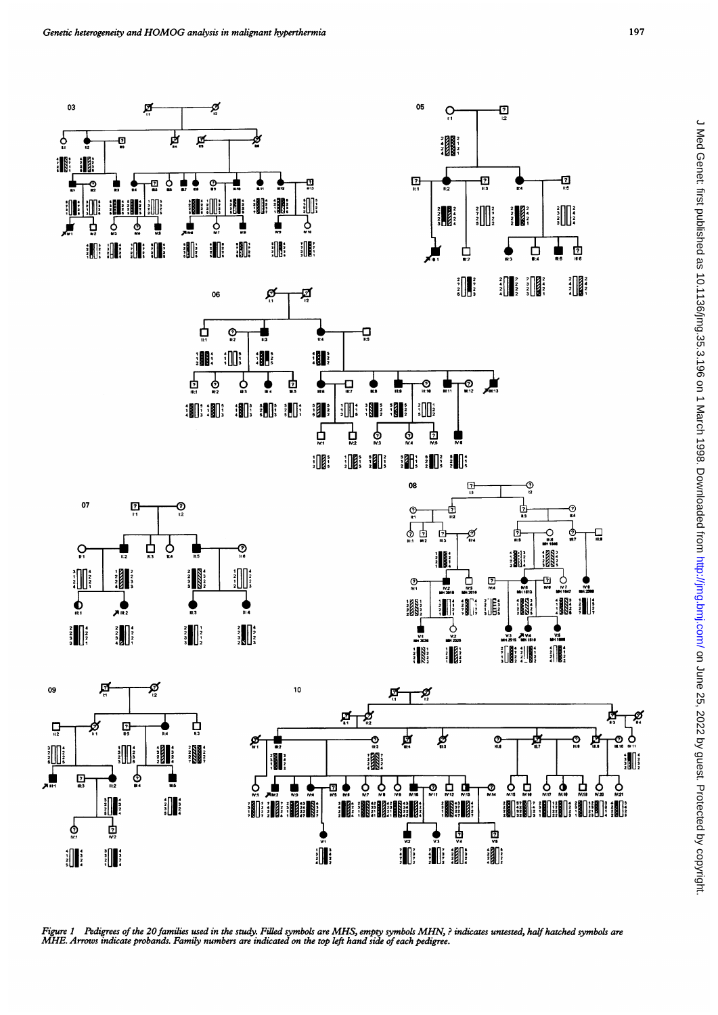

Figure 1 Pedigrees of the 20 families used in the study. Filled symbols are MHS, empty symbols MHN, ? indicates untested, half hatched symbols are<br>MHE. Arrows indicate probands. Family numbers are indicated on the top left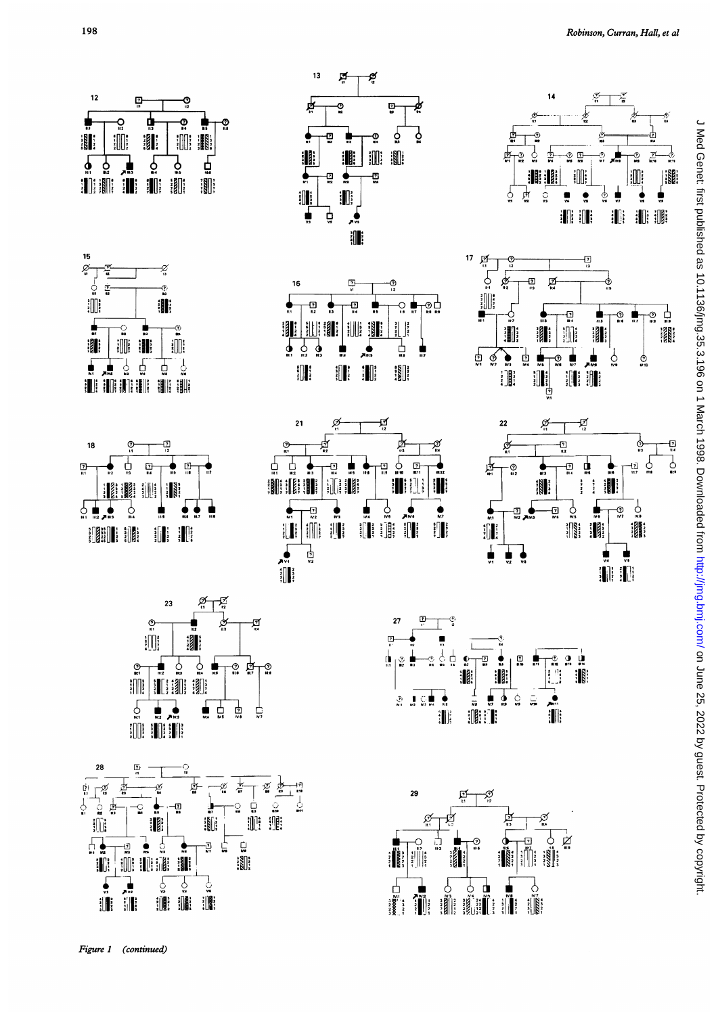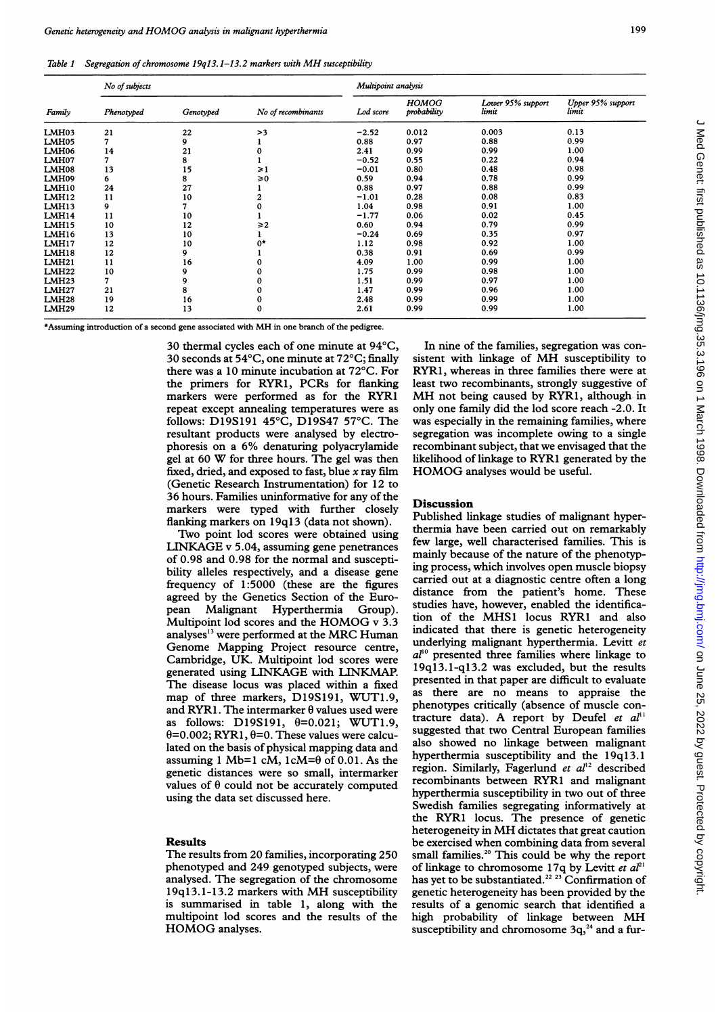| Family       | No of subjects |           |                    | Multipoint analysis |                             |                            |                            |
|--------------|----------------|-----------|--------------------|---------------------|-----------------------------|----------------------------|----------------------------|
|              | Phenotyped     | Genotyped | No of recombinants | Lod score           | <b>HOMOG</b><br>probability | Lower 95% support<br>limit | Upper 95% support<br>limit |
| LMH03        | 21             | 22        | >3                 | $-2.52$             | 0.012                       | 0.003                      | 0.13                       |
| LMH05        | 7              | 9         |                    | 0.88                | 0.97                        | 0.88                       | 0.99                       |
| LMH06        | 14             | 21        |                    | 2.41                | 0.99                        | 0.99                       | 1.00                       |
| LMH07        | 7              | 8         |                    | $-0.52$             | 0.55                        | 0.22                       | 0.94                       |
| LMH08        | 13             | 15        | ≥1                 | $-0.01$             | 0.80                        | 0.48                       | 0.98                       |
| LMH09        | 6              | 8         | $\geq 0$           | 0.59                | 0.94                        | 0.78                       | 0.99                       |
| LMH10        | 24             | 27        |                    | 0.88                | 0.97                        | 0.88                       | 0.99                       |
| LMH12        | 11             | 10        |                    | $-1.01$             | 0.28                        | 0.08                       | 0.83                       |
| LMH13        | 9              |           |                    | 1.04                | 0.98                        | 0.91                       | 1.00                       |
| LMH14        | 11             | 10        |                    | $-1.77$             | 0.06                        | 0.02                       | 0.45                       |
| <b>LMH15</b> | 10             | 12        | $\geqslant$ 2      | 0.60                | 0.94                        | 0.79                       | 0.99                       |
| LMH16        | 13             | 10        |                    | $-0.24$             | 0.69                        | 0.35                       | 0.97                       |
| LMH17        | 12             | 10        | $^{\circ}$         | 1.12                | 0.98                        | 0.92                       | 1.00                       |
| LMH18        | 12             | 9         |                    | 0.38                | 0.91                        | 0.69                       | 0.99                       |
| LMH21        | 11             | 16        |                    | 4.09                | 1.00                        | 0.99                       | 1.00                       |
| <b>LMH22</b> | 10             | 9         |                    | 1.75                | 0.99                        | 0.98                       | 1.00                       |
| LMH23        | 7              | 9         |                    | 1.51                | 0.99                        | 0.97                       | 1.00                       |
| <b>LMH27</b> | 21             | 8         | 0                  | 1.47                | 0.99                        | 0.96                       | 1.00                       |
| LMH28        | 19             | 16        | 0                  | 2.48                | 0.99                        | 0.99                       | 1.00                       |
| <b>LMH29</b> | 12             | 13        | $\bf{0}$           | 2.61                | 0.99                        | 0.99                       | 1.00                       |

\*Assuring introduction of <sup>a</sup> second gene associated with MH in one branch of the pedigree.

30 thermal cycles each of one minute at 94°C, 30 seconds at 54°C, one minute at 72°C; finally there was a 10 minute incubation at 72°C. For the primers for RYR1, PCRs for flanking markers were performed as for the RYR1 repeat except annealing temperatures were as follows: D19S191 45°C, D19S47 57°C. The resultant products were analysed by electrophoresis on <sup>a</sup> 6% denaturing polyacrylamide gel at <sup>60</sup> W for three hours. The gel was then fixed, dried, and exposed to fast, blue  $x$  ray film (Genetic Research Instrumentation) for 12 to 36 hours. Families uninformative for any of the markers were typed with further closely flanking markers on 19q13 (data not shown).

Two point lod scores were obtained using LINKAGE v 5.04, assuming gene penetrances of 0.98 and 0.98 for the normal and susceptibility alleles respectively, and a disease gene frequency of 1:5000 (these are the figures agreed by the Genetics Section of the European Malignant Hyperthermia Group). Multipoint lod scores and the HOMOG <sup>v</sup> 3.3 analyses'3 were performed at the MRC Human Genome Mapping Project resource centre, Cambridge, UK. Multipoint lod scores were generated using LINKAGE with LINKMAP. The disease locus was placed within a fixed map of three markers, D19S191, WUT1.9, and RYR1. The intermarker  $\theta$  values used were as follows: D19S191,  $\theta = 0.021$ ; WUT1.9,  $\theta$ =0.002; RYR1,  $\theta$ =0. These values were calculated on the basis of physical mapping data and assuming 1 Mb=1 cM,  $1cM=0$  of 0.01. As the genetic distances were so small, intermarker values of  $\theta$  could not be accurately computed using the data set discussed here.

# Results

The results from 20 families, incorporating 250 phenotyped and 249 genotyped subjects, were analysed. The segregation of the chromosome 19ql3.1-13.2 markers with MH susceptibility is summarised in table 1, along with the multipoint lod scores and the results of the HOMOG analyses.

In nine of the families, segregation was consistent with linkage of MH susceptibility to RYR1, whereas in three families there were at least two recombinants, strongly suggestive of MH not being caused by RYR1, although in only one family did the lod score reach -2.0. It was especially in the remaining families, where segregation was incomplete owing to a single recombinant subject, that we envisaged that the likelihood of linkage to RYRI generated by the HOMOG analyses would be useful.

## Discussion

Published linkage studies of malignant hyperthermia have been carried out on remarkably few large, well characterised families. This is mainly because of the nature of the phenotyping process, which involves open muscle biopsy carried out at a diagnostic centre often a long distance from the patient's home. These studies have, however, enabled the identification of the MHS<sup>1</sup> locus RYRI and also indicated that there is genetic heterogeneity underlying malignant hyperthermia. Levitt et  $a<sup>10</sup>$  presented three families where linkage to 19q13.1-q13.2 was excluded, but the results presented in that paper are difficult to evaluate as there are no means to appraise the phenotypes critically (absence of muscle contracture data). A report by Deufel et  $al<sup>11</sup>$ suggested that two Central European families also showed no linkage between malignant hyperthermia susceptibility and the 19q13.1 region. Similarly, Fagerlund et  $al^{12}$  described recombinants between RYR1 and malignant hyperthermia susceptibility in two out of three Swedish families segregating informatively at the RYR1 locus. The presence of genetic heterogeneity in MH dictates that great caution be exercised when combining data from several small families.<sup>20</sup> This could be why the report of linkage to chromosome 17q by Levitt et  $aI^{21}$ has yet to be substantiated.<sup>22</sup>  $^{23}$  Confirmation of genetic heterogeneity has been provided by the results of a genomic search that identified a high probability of linkage between MH susceptibility and chromosome  $3q<sub>2</sub><sup>24</sup>$  and a fur-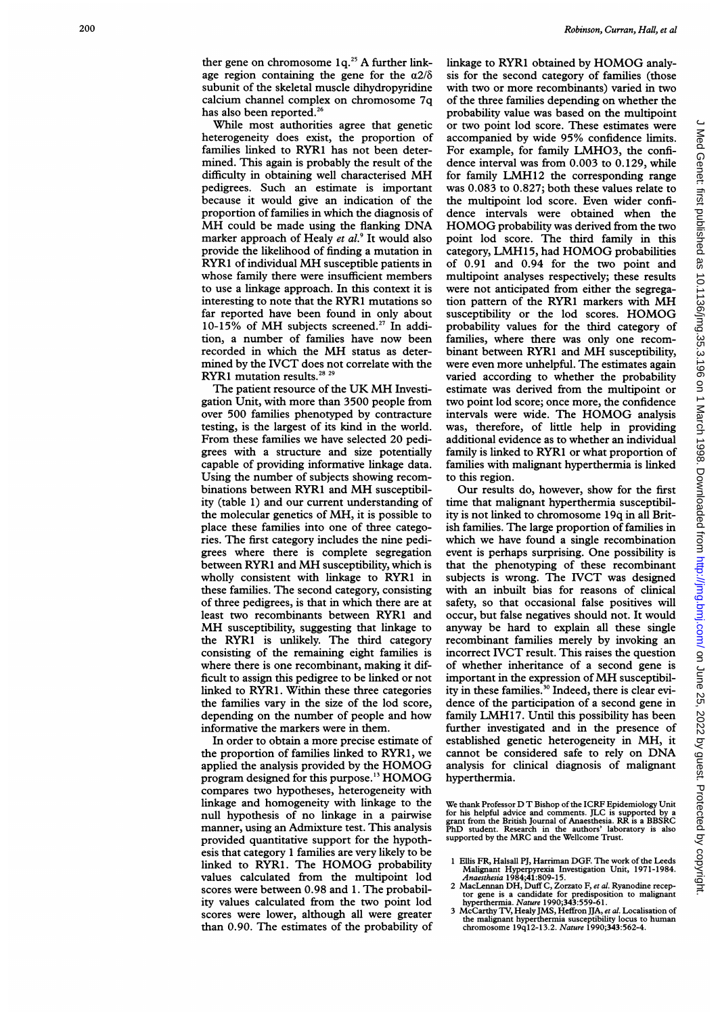While most authorities agree that genetic heterogeneity does exist, the proportion of families linked to RYR1 has not been determined. This again is probably the result of the difficulty in obtaining well characterised MH pedigrees. Such an estimate is important because it would give an indication of the proportion of families in which the diagnosis of MH could be made using the flanking DNA marker approach of Healy et  $al$ .<sup>9</sup> It would also provide the likelihood of finding a mutation in RYR1 of individual MH susceptible patients in whose family there were insufficient members to use a linkage approach. In this context it is interesting to note that the RYR1 mutations so far reported have been found in only about 10-15% of MH subjects screened.<sup>27</sup> In addition, a number of families have now been recorded in which the MH status as determined by the IVCT does not correlate with the RYR1 mutation results.<sup>28</sup> <sup>29</sup>

The patient resource of the UK MH Investigation Unit, with more than 3500 people from over 500 families phenotyped by contracture testing, is the largest of its kind in the world. From these families we have selected 20 pedigrees with a structure and size potentially capable of providing informative linkage data. Using the number of subjects showing recombinations between RYR1 and MH susceptibility (table 1) and our current understanding of the molecular genetics of MH, it is possible to place these families into one of three categories. The first category includes the nine pedigrees where there is complete segregation between RYR1 and MH susceptibility, which is wholly consistent with linkage to RYR1 in these families. The second category, consisting of three pedigrees, is that in which there are at least two recombinants between RYR1 and MH susceptibility, suggesting that linkage to the RYRI is unlikely. The third category consisting of the remaining eight families is where there is one recombinant, making it difficult to assign this pedigree to be linked or not linked to RYR1. Within these three categories the families vary in the size of the lod score, depending on the number of people and how informative the markers were in them.

In order to obtain a more precise estimate of the proportion of families linked to RYR1, we applied the analysis provided by the HOMOG program designed for this purpose."3 HOMOG compares two hypotheses, heterogeneity with linkage and homogeneity with linkage to the null hypothesis of no linkage in a pairwise manner, using an Admixture test. This analysis provided quantitative support for the hypothesis that category <sup>1</sup> families are very likely to be linked to RYR1. The HOMOG probability values calculated from the multipoint lod scores were between 0.98 and 1. The probability values calculated from the two point lod scores were lower, although all were greater than 0.90. The estimates of the probability of

linkage to RYRI obtained by HOMOG analysis for the second category of families (those with two or more recombinants) varied in two of the three families depending on whether the probability value was based on the multipoint or two point lod score. These estimates were accompanied by wide 95% confidence limits. For example, for family LMHO3, the confidence interval was from 0.003 to 0.129, while for family LMH12 the corresponding range was 0.083 to 0.827; both these values relate to the multipoint lod score. Even wider confidence intervals were obtained when the HOMOG probability was derived from the two point lod score. The third family in this category, LMH15, had HOMOG probabilities of 0.91 and 0.94 for the two point and multipoint analyses respectively; these results were not anticipated from either the segregation pattern of the RYRI markers with MH susceptibility or the lod scores. HOMOG probability values for the third category of families, where there was only one recombinant between RYR1 and MH susceptibility, were even more unhelpful. The estimates again varied according to whether the probability estimate was derived from the multipoint or two point lod score; once more, the confidence intervals were wide. The HOMOG analysis was, therefore, of little help in providing additional evidence as to whether an individual family is linked to RYR1 or what proportion of families with malignant hyperthermia is linked to this region.

Our results do, however, show for the first time that malignant hyperthermia susceptibility is not linked to chromosome 19q in all British families. The large proportion of families in which we have found a single recombination event is perhaps surprising. One possibility is that the phenotyping of these recombinant subjects is wrong. The IVCT was designed with an inbuilt bias for reasons of clinical safety, so that occasional false positives will occur, but false negatives should not. It would anyway be hard to explain all these single recombinant families merely by invoking an incorrect IVCT result. This raises the question of whether inheritance of a second gene is important in the expression of MH susceptibility in these families.<sup>30</sup> Indeed, there is clear evidence of the participation of a second gene in family LMH17. Until this possibility has been further investigated and in the presence of established genetic heterogeneity in MH, it cannot be considered safe to rely on DNA analysis for clinical diagnosis of malignant hyperthermia.

We thank Professor D T Bishop of the ICRF Epidemiology Unit for his helpful advice and comments. JLC is supported by a grant from the British Journal of Anaesthesia. RR is <sup>a</sup> BBSRC PhD student. Research in the authors' laboratory is also supported by the MRC and the Wellcome Trust.

- <sup>1</sup> Ellis FR, Halsall PJ, Harriman DGF. The work of the Leeds Malignant Hyperpyrexia Investigation Unit, 1971-1984. Anaesthesia 1984;41:809-15.
- 2 MacLennan DH, Duff C, Zorzato F, et al. Ryanodine receptor gene is a candidate for predisposition to malignant<br>hyperthermia. Nature 1990;343:559-61.<br>3 McCarthy TV, Healy JMS, Heffron JJA, et al. Localisation of
- the malignant hyperthermia susceptibility locus to human chromosome 19ql2-13.2. Nature 1990;343:562-4.